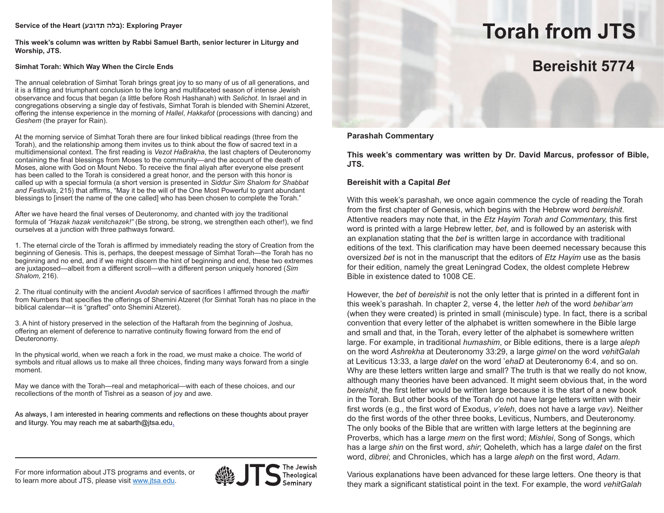# **Service of the Heart (תדובע בלה(: Exploring Prayer**

**This week's column was written by Rabbi Samuel Barth, senior lecturer in Liturgy and Worship, JTS.**

# **Simhat Torah: Which Way When the Circle Ends**

The annual celebration of Simhat Torah brings great joy to so many of us of all generations, and it is a fitting and triumphant conclusion to the long and multifaceted season of intense Jewish observance and focus that began (a little before Rosh Hashanah) with *Selichot*. In Israel and in congregations observing a single day of festivals, Simhat Torah is blended with Shemini Atzeret, offering the intense experience in the morning of *Hallel*, *Hakkafot* (processions with dancing) and *Geshem* (the prayer for Rain).

At the morning service of Simhat Torah there are four linked biblical readings (three from the Torah), and the relationship among them invites us to think about the flow of sacred text in a multidimensional context. The first reading is *Vezot HaBrakha*, the last chapters of Deuteronomy containing the final blessings from Moses to the community—and the account of the death of Moses, alone with God on Mount Nebo. To receive the final aliyah after everyone else present has been called to the Torah is considered a great honor, and the person with this honor is called up with a special formula (a short version is presented in *Siddur Sim Shalom for Shabbat and Festivals*, 215) that affirms, "May it be the will of the One Most Powerful to grant abundant blessings to [insert the name of the one called] who has been chosen to complete the Torah."

After we have heard the final verses of Deuteronomy, and chanted with joy the traditional formula of *"Hazak hazak venitchazek!"* (Be strong, be strong, we strengthen each other!), we find ourselves at a junction with three pathways forward.

1. The eternal circle of the Torah is affirmed by immediately reading the story of Creation from the beginning of Genesis. This is, perhaps, the deepest message of Simhat Torah—the Torah has no beginning and no end, and if we might discern the hint of beginning and end, these two extremes are juxtaposed—albeit from a different scroll—with a different person uniquely honored (*Sim Shalom*, 216).

2. The ritual continuity with the ancient *Avodah* service of sacrifices I affirmed through the *maftir* from Numbers that specifies the offerings of Shemini Atzeret (for Simhat Torah has no place in the biblical calendar—it is "grafted" onto Shemini Atzeret).

3. A hint of history preserved in the selection of the Haftarah from the beginning of Joshua, offering an element of deference to narrative continuity flowing forward from the end of Deuteronomy.

In the physical world, when we reach a fork in the road, we must make a choice. The world of symbols and ritual allows us to make all three choices, finding many ways forward from a single moment.

May we dance with the Torah—real and metaphorical—with each of these choices, and our recollections of the month of Tishrei as a season of joy and awe.

As always, I am interested in hearing comments and reflections on these thoughts about prayer and liturgy. You may reach me at sabarth@jtsa.edu.

### For more information about JTS programs and events, or to learn more about JTS, please visit www.jtsa.edu.



Theological

# **Torah from JTS**

# **Bereishit 5774**

**Parashah Commentary**

**This week's commentary was written by Dr. David Marcus, professor of Bible, JTS.**

# **Bereishit with a Capital** *Bet*

With this week's parashah, we once again commence the cycle of reading the Torah from the first chapter of Genesis, which begins with the Hebrew word *bereishit*. Attentive readers may note that, in the *Etz Hayim Torah and Commentary,* this first word is printed with a large Hebrew letter, *bet*, and is followed by an asterisk with an explanation stating that the *bet* is written large in accordance with traditional editions of the text. This clarification may have been deemed necessary because this oversized *bet* is not in the manuscript that the editors of *Etz Hayim* use as the basis for their edition, namely the great Leningrad Codex, the oldest complete Hebrew Bible in existence dated to 1008 CE.

However, the *bet* of *bereishit* is not the only letter that is printed in a different font in this week's parashah. In chapter 2, verse 4, the letter *heh* of the word *behibar'am* (when they were created) is printed in small (miniscule) type. In fact, there is a scribal convention that every letter of the alphabet is written somewhere in the Bible large and small and that, in the Torah, every letter of the alphabet is somewhere written large. For example, in traditional *humashim*, or Bible editions, there is a large *aleph*  on the word *Ashrekha* at Deuteronomy 33:29, a large *gimel* on the word *vehitGalah*  at Leviticus 13:33, a large *dalet* on the word '*ehaD* at Deuteronomy 6:4, and so on. Why are these letters written large and small? The truth is that we really do not know, although many theories have been advanced. It might seem obvious that, in the word *bereishit*, the first letter would be written large because it is the start of a new book in the Torah. But other books of the Torah do not have large letters written with their first words (e.g., the first word of Exodus, *v'eleh*, does not have a large *vav*). Neither do the first words of the other three books, Leviticus, Numbers, and Deuteronomy. The only books of the Bible that are written with large letters at the beginning are Proverbs, which has a large *mem* on the first word; *Mishlei*, Song of Songs, which has a large *shin* on the first word, *shir*; Qoheleth, which has a large *dalet* on the first word, *dibrei*; and Chronicles, which has a large *aleph* on the first word, *Adam*.

Various explanations have been advanced for these large letters. One theory is that they mark a significant statistical point in the text. For example, the word *vehitGalah*